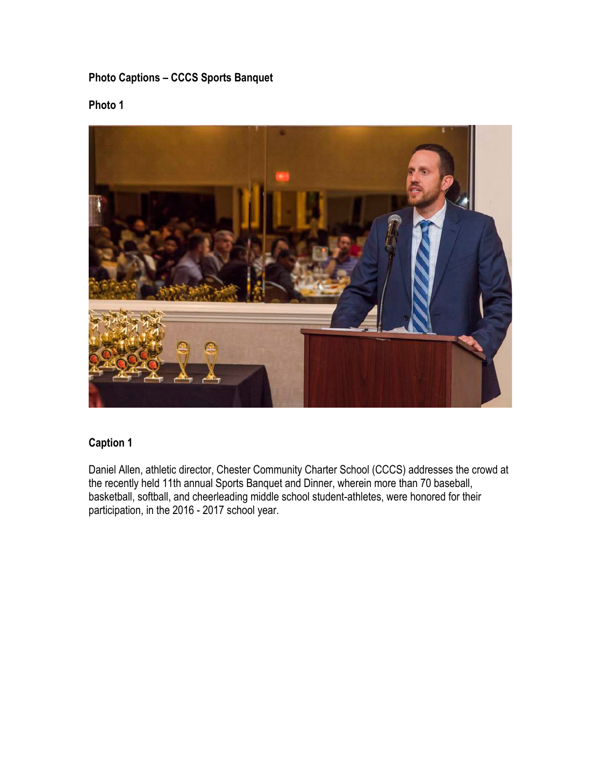# **Photo Captions – CCCS Sports Banquet**

## **Photo 1**



#### **Caption 1**

Daniel Allen, athletic director, Chester Community Charter School (CCCS) addresses the crowd at the recently held 11th annual Sports Banquet and Dinner, wherein more than 70 baseball, basketball, softball, and cheerleading middle school student-athletes, were honored for their participation, in the 2016 - 2017 school year.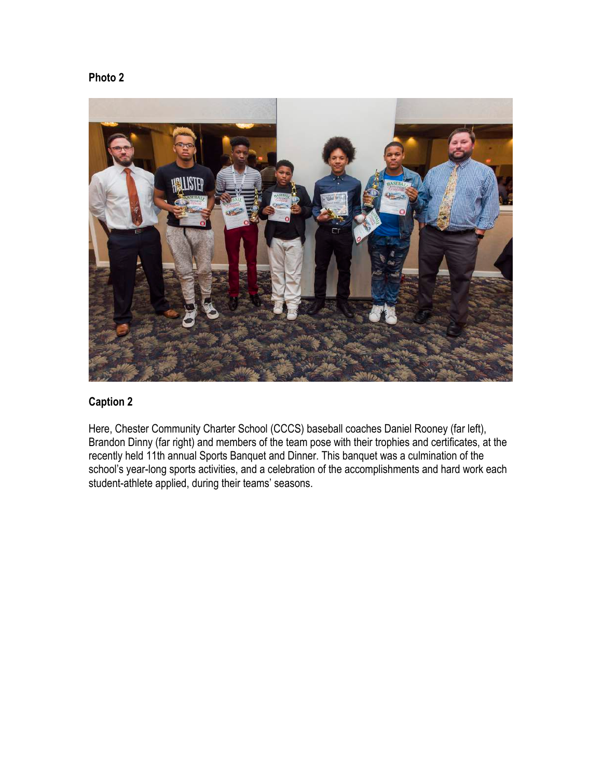```
Photo 2
```


Here, Chester Community Charter School (CCCS) baseball coaches Daniel Rooney (far left), Brandon Dinny (far right) and members of the team pose with their trophies and certificates, at the recently held 11th annual Sports Banquet and Dinner. This banquet was a culmination of the school's year-long sports activities, and a celebration of the accomplishments and hard work each student-athlete applied, during their teams' seasons.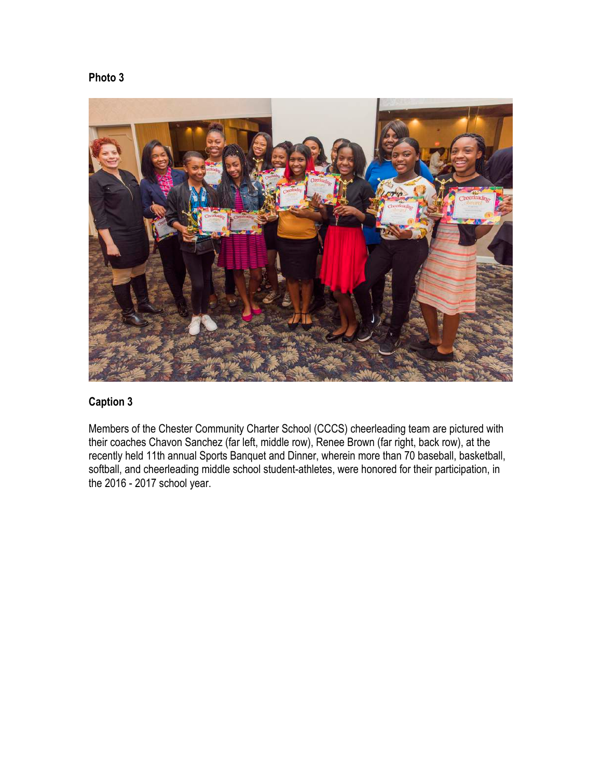



Members of the Chester Community Charter School (CCCS) cheerleading team are pictured with their coaches Chavon Sanchez (far left, middle row), Renee Brown (far right, back row), at the recently held 11th annual Sports Banquet and Dinner, wherein more than 70 baseball, basketball, softball, and cheerleading middle school student-athletes, were honored for their participation, in the 2016 - 2017 school year.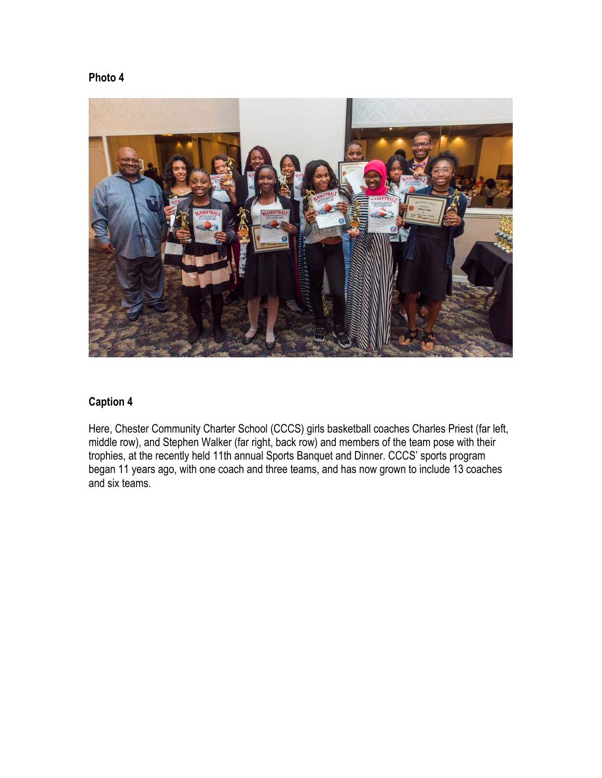**Photo 4**

### **Caption 4**

Here, Chester Community Charter School (CCCS) girls basketball coaches Charles Priest (far left, middle row), and Stephen Walker (far right, back row) and members of the team pose with their trophies, at the recently held 11th annual Sports Banquet and Dinner. CCCS' sports program began 11 years ago, with one coach and three teams, and has now grown to include 13 coaches and six teams.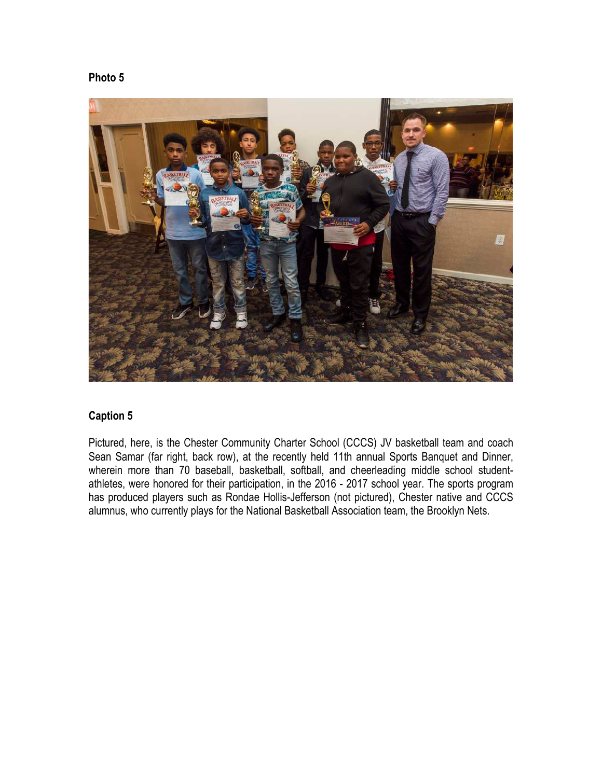```
Photo 5
```


Pictured, here, is the Chester Community Charter School (CCCS) JV basketball team and coach Sean Samar (far right, back row), at the recently held 11th annual Sports Banquet and Dinner, wherein more than 70 baseball, basketball, softball, and cheerleading middle school studentathletes, were honored for their participation, in the 2016 - 2017 school year. The sports program has produced players such as Rondae Hollis-Jefferson (not pictured), Chester native and CCCS alumnus, who currently plays for the National Basketball Association team, the Brooklyn Nets.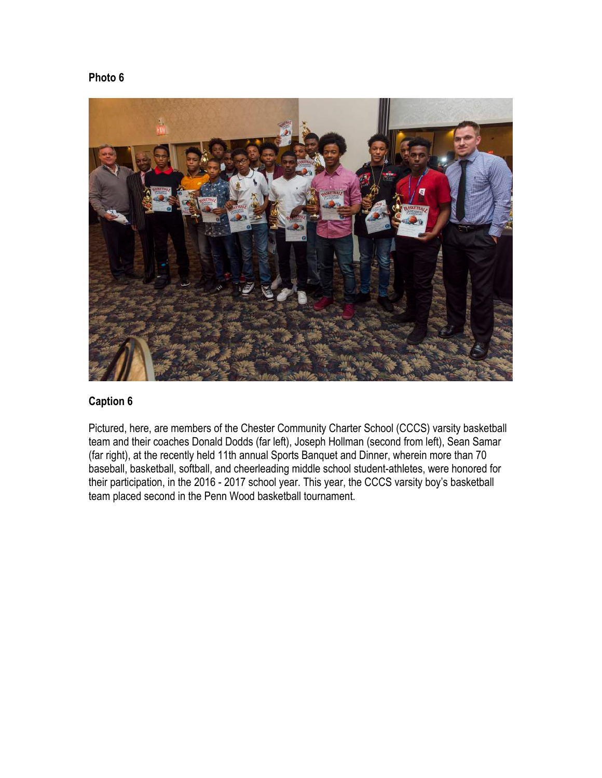### **Photo 6**



#### **Caption 6**

Pictured, here, are members of the Chester Community Charter School (CCCS) varsity basketball team and their coaches Donald Dodds (far left), Joseph Hollman (second from left), Sean Samar (far right), at the recently held 11th annual Sports Banquet and Dinner, wherein more than 70 baseball, basketball, softball, and cheerleading middle school student-athletes, were honored for their participation, in the 2016 - 2017 school year. This year, the CCCS varsity boy's basketball team placed second in the Penn Wood basketball tournament.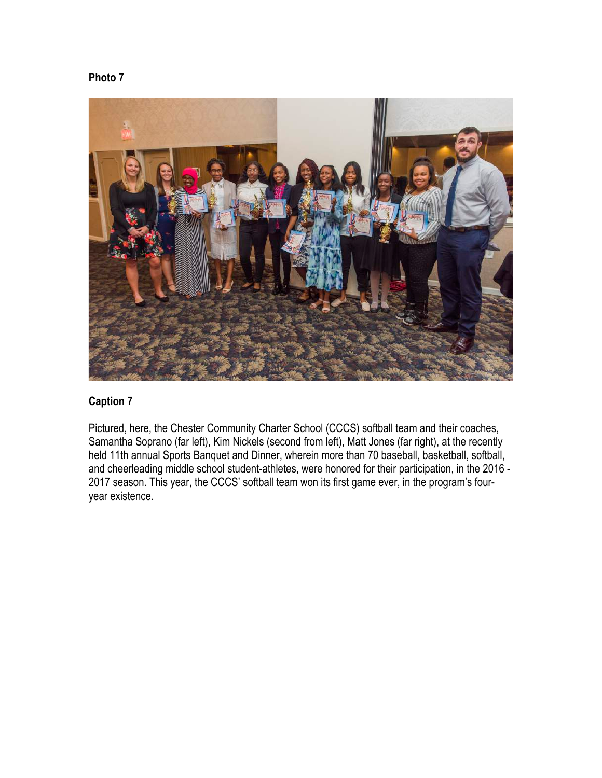



Pictured, here, the Chester Community Charter School (CCCS) softball team and their coaches, Samantha Soprano (far left), Kim Nickels (second from left), Matt Jones (far right), at the recently held 11th annual Sports Banquet and Dinner, wherein more than 70 baseball, basketball, softball, and cheerleading middle school student-athletes, were honored for their participation, in the 2016 - 2017 season. This year, the CCCS' softball team won its first game ever, in the program's fouryear existence.